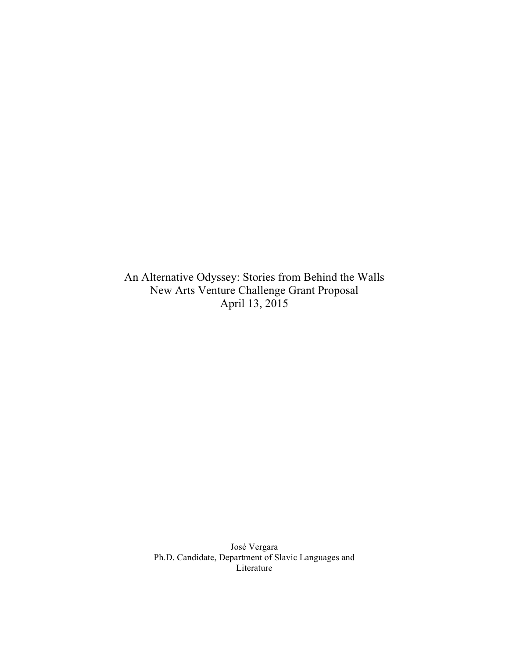An Alternative Odyssey: Stories from Behind the Walls New Arts Venture Challenge Grant Proposal April 13, 2015

> José Vergara Ph.D. Candidate, Department of Slavic Languages and Literature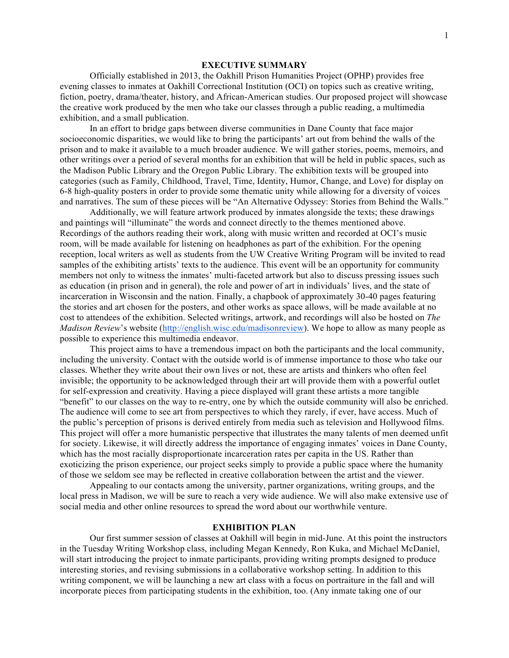## **EXECUTIVE SUMMARY**

Officially established in 2013, the Oakhill Prison Humanities Project (OPHP) provides free evening classes to inmates at Oakhill Correctional Institution (OCI) on topics such as creative writing, fiction, poetry, drama/theater, history, and African-American studies. Our proposed project will showcase the creative work produced by the men who take our classes through a public reading, a multimedia exhibition, and a small publication.

In an effort to bridge gaps between diverse communities in Dane County that face major socioeconomic disparities, we would like to bring the participants' art out from behind the walls of the prison and to make it available to a much broader audience. We will gather stories, poems, memoirs, and other writings over a period of several months for an exhibition that will be held in public spaces, such as the Madison Public Library and the Oregon Public Library. The exhibition texts will be grouped into categories (such as Family, Childhood, Travel, Time, Identity, Humor, Change, and Love) for display on 6-8 high-quality posters in order to provide some thematic unity while allowing for a diversity of voices and narratives. The sum of these pieces will be "An Alternative Odyssey: Stories from Behind the Walls."

Additionally, we will feature artwork produced by inmates alongside the texts; these drawings and paintings will "illuminate" the words and connect directly to the themes mentioned above. Recordings of the authors reading their work, along with music written and recorded at OCI's music room, will be made available for listening on headphones as part of the exhibition. For the opening reception, local writers as well as students from the UW Creative Writing Program will be invited to read samples of the exhibiting artists' texts to the audience. This event will be an opportunity for community members not only to witness the inmates' multi-faceted artwork but also to discuss pressing issues such as education (in prison and in general), the role and power of art in individuals' lives, and the state of incarceration in Wisconsin and the nation. Finally, a chapbook of approximately 30-40 pages featuring the stories and art chosen for the posters, and other works as space allows, will be made available at no cost to attendees of the exhibition. Selected writings, artwork, and recordings will also be hosted on *The Madison Review*'s website (http://english.wisc.edu/madisonreview). We hope to allow as many people as possible to experience this multimedia endeavor.

This project aims to have a tremendous impact on both the participants and the local community, including the university. Contact with the outside world is of immense importance to those who take our classes. Whether they write about their own lives or not, these are artists and thinkers who often feel invisible; the opportunity to be acknowledged through their art will provide them with a powerful outlet for self-expression and creativity. Having a piece displayed will grant these artists a more tangible "benefit" to our classes on the way to re-entry, one by which the outside community will also be enriched. The audience will come to see art from perspectives to which they rarely, if ever, have access. Much of the public's perception of prisons is derived entirely from media such as television and Hollywood films. This project will offer a more humanistic perspective that illustrates the many talents of men deemed unfit for society. Likewise, it will directly address the importance of engaging inmates' voices in Dane County, which has the most racially disproportionate incarceration rates per capita in the US. Rather than exoticizing the prison experience, our project seeks simply to provide a public space where the humanity of those we seldom see may be reflected in creative collaboration between the artist and the viewer.

Appealing to our contacts among the university, partner organizations, writing groups, and the local press in Madison, we will be sure to reach a very wide audience. We will also make extensive use of social media and other online resources to spread the word about our worthwhile venture.

## **EXHIBITION PLAN**

Our first summer session of classes at Oakhill will begin in mid-June. At this point the instructors in the Tuesday Writing Workshop class, including Megan Kennedy, Ron Kuka, and Michael McDaniel, will start introducing the project to inmate participants, providing writing prompts designed to produce interesting stories, and revising submissions in a collaborative workshop setting. In addition to this writing component, we will be launching a new art class with a focus on portraiture in the fall and will incorporate pieces from participating students in the exhibition, too. (Any inmate taking one of our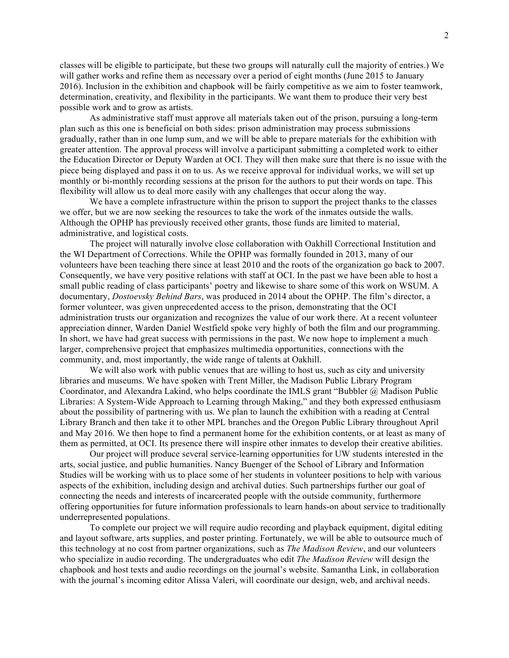classes will be eligible to participate, but these two groups will naturally cull the majority of entries.) We will gather works and refine them as necessary over a period of eight months (June 2015 to January 2016). Inclusion in the exhibition and chapbook will be fairly competitive as we aim to foster teamwork, determination, creativity, and flexibility in the participants. We want them to produce their very best possible work and to grow as artists.

As administrative staff must approve all materials taken out of the prison, pursuing a long-term plan such as this one is beneficial on both sides: prison administration may process submissions gradually, rather than in one lump sum, and we will be able to prepare materials for the exhibition with greater attention. The approval process will involve a participant submitting a completed work to either the Education Director or Deputy Warden at OCI. They will then make sure that there is no issue with the piece being displayed and pass it on to us. As we receive approval for individual works, we will set up monthly or bi-monthly recording sessions at the prison for the authors to put their words on tape. This flexibility will allow us to deal more easily with any challenges that occur along the way.

We have a complete infrastructure within the prison to support the project thanks to the classes we offer, but we are now seeking the resources to take the work of the inmates outside the walls. Although the OPHP has previously received other grants, those funds are limited to material, administrative, and logistical costs.

The project will naturally involve close collaboration with Oakhill Correctional Institution and the WI Department of Corrections. While the OPHP was formally founded in 2013, many of our volunteers have been teaching there since at least 2010 and the roots of the organization go back to 2007. Consequently, we have very positive relations with staff at OCI. In the past we have been able to host a small public reading of class participants' poetry and likewise to share some of this work on WSUM. A documentary, *Dostoevsky Behind Bars*, was produced in 2014 about the OPHP. The film's director, a former volunteer, was given unprecedented access to the prison, demonstrating that the OCI administration trusts our organization and recognizes the value of our work there. At a recent volunteer appreciation dinner, Warden Daniel Westfield spoke very highly of both the film and our programming. In short, we have had great success with permissions in the past. We now hope to implement a much larger, comprehensive project that emphasizes multimedia opportunities, connections with the community, and, most importantly, the wide range of talents at Oakhill.

We will also work with public venues that are willing to host us, such as city and university libraries and museums. We have spoken with Trent Miller, the Madison Public Library Program Coordinator, and Alexandra Lakind, who helps coordinate the IMLS grant "Bubbler @ Madison Public Libraries: A System-Wide Approach to Learning through Making," and they both expressed enthusiasm about the possibility of partnering with us. We plan to launch the exhibition with a reading at Central Library Branch and then take it to other MPL branches and the Oregon Public Library throughout April and May 2016. We then hope to find a permanent home for the exhibition contents, or at least as many of them as permitted, at OCI. Its presence there will inspire other inmates to develop their creative abilities.

Our project will produce several service-learning opportunities for UW students interested in the arts, social justice, and public humanities. Nancy Buenger of the School of Library and Information Studies will be working with us to place some of her students in volunteer positions to help with various aspects of the exhibition, including design and archival duties. Such partnerships further our goal of connecting the needs and interests of incarcerated people with the outside community, furthermore offering opportunities for future information professionals to learn hands-on about service to traditionally underrepresented populations.

To complete our project we will require audio recording and playback equipment, digital editing and layout software, arts supplies, and poster printing. Fortunately, we will be able to outsource much of this technology at no cost from partner organizations, such as *The Madison Review*, and our volunteers who specialize in audio recording. The undergraduates who edit *The Madison Review* will design the chapbook and host texts and audio recordings on the journal's website. Samantha Link, in collaboration with the journal's incoming editor Alissa Valeri, will coordinate our design, web, and archival needs.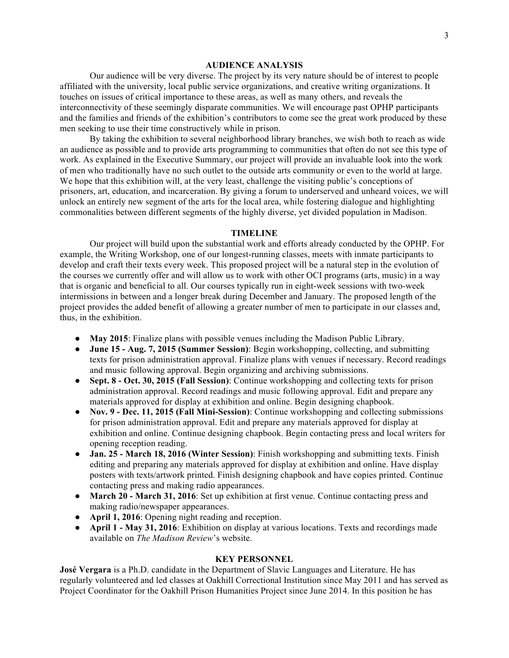## **AUDIENCE ANALYSIS**

Our audience will be very diverse. The project by its very nature should be of interest to people affiliated with the university, local public service organizations, and creative writing organizations. It touches on issues of critical importance to these areas, as well as many others, and reveals the interconnectivity of these seemingly disparate communities. We will encourage past OPHP participants and the families and friends of the exhibition's contributors to come see the great work produced by these men seeking to use their time constructively while in prison.

By taking the exhibition to several neighborhood library branches, we wish both to reach as wide an audience as possible and to provide arts programming to communities that often do not see this type of work. As explained in the Executive Summary, our project will provide an invaluable look into the work of men who traditionally have no such outlet to the outside arts community or even to the world at large. We hope that this exhibition will, at the very least, challenge the visiting public's conceptions of prisoners, art, education, and incarceration. By giving a forum to underserved and unheard voices, we will unlock an entirely new segment of the arts for the local area, while fostering dialogue and highlighting commonalities between different segments of the highly diverse, yet divided population in Madison.

## **TIMELINE**

Our project will build upon the substantial work and efforts already conducted by the OPHP. For example, the Writing Workshop, one of our longest-running classes, meets with inmate participants to develop and craft their texts every week. This proposed project will be a natural step in the evolution of the courses we currently offer and will allow us to work with other OCI programs (arts, music) in a way that is organic and beneficial to all. Our courses typically run in eight-week sessions with two-week intermissions in between and a longer break during December and January. The proposed length of the project provides the added benefit of allowing a greater number of men to participate in our classes and, thus, in the exhibition.

- **May 2015**: Finalize plans with possible venues including the Madison Public Library.
- **June 15 Aug. 7, 2015 (Summer Session)**: Begin workshopping, collecting, and submitting texts for prison administration approval. Finalize plans with venues if necessary. Record readings and music following approval. Begin organizing and archiving submissions.
- **Sept. 8 Oct. 30, 2015 (Fall Session)**: Continue workshopping and collecting texts for prison administration approval. Record readings and music following approval. Edit and prepare any materials approved for display at exhibition and online. Begin designing chapbook.
- **Nov. 9 Dec. 11, 2015 (Fall Mini-Session)**: Continue workshopping and collecting submissions for prison administration approval. Edit and prepare any materials approved for display at exhibition and online. Continue designing chapbook. Begin contacting press and local writers for opening reception reading.
- **Jan. 25 March 18, 2016 (Winter Session)**: Finish workshopping and submitting texts. Finish editing and preparing any materials approved for display at exhibition and online. Have display posters with texts/artwork printed. Finish designing chapbook and have copies printed. Continue contacting press and making radio appearances.
- March 20 March 31, 2016: Set up exhibition at first venue. Continue contacting press and making radio/newspaper appearances.
- **April 1, 2016**: Opening night reading and reception.
- **April 1 May 31, 2016**: Exhibition on display at various locations. Texts and recordings made available on *The Madison Review*'s website.

#### **KEY PERSONNEL**

**José Vergara** is a Ph.D. candidate in the Department of Slavic Languages and Literature. He has regularly volunteered and led classes at Oakhill Correctional Institution since May 2011 and has served as Project Coordinator for the Oakhill Prison Humanities Project since June 2014. In this position he has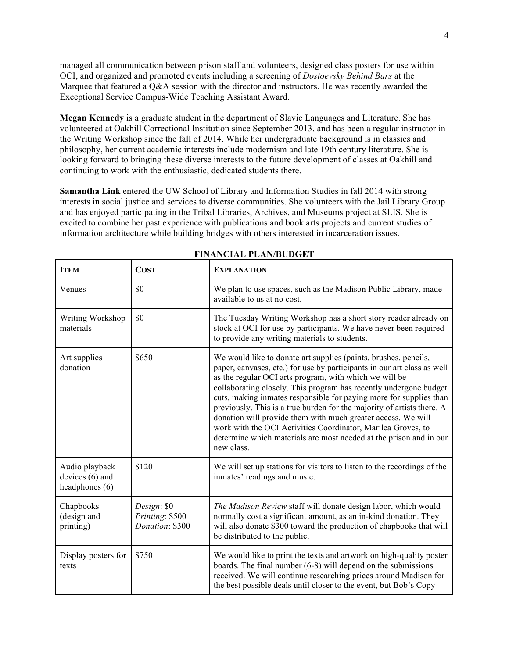managed all communication between prison staff and volunteers, designed class posters for use within OCI, and organized and promoted events including a screening of *Dostoevsky Behind Bars* at the Marquee that featured a Q&A session with the director and instructors. He was recently awarded the Exceptional Service Campus-Wide Teaching Assistant Award.

**Megan Kennedy** is a graduate student in the department of Slavic Languages and Literature. She has volunteered at Oakhill Correctional Institution since September 2013, and has been a regular instructor in the Writing Workshop since the fall of 2014. While her undergraduate background is in classics and philosophy, her current academic interests include modernism and late 19th century literature. She is looking forward to bringing these diverse interests to the future development of classes at Oakhill and continuing to work with the enthusiastic, dedicated students there.

**Samantha Link** entered the UW School of Library and Information Studies in fall 2014 with strong interests in social justice and services to diverse communities. She volunteers with the Jail Library Group and has enjoyed participating in the Tribal Libraries, Archives, and Museums project at SLIS. She is excited to combine her past experience with publications and book arts projects and current studies of information architecture while building bridges with others interested in incarceration issues.

| <b>ITEM</b>                                           | <b>COST</b>                                       | <b>EXPLANATION</b>                                                                                                                                                                                                                                                                                                                                                                                                                                                                                                                                                                                                                            |
|-------------------------------------------------------|---------------------------------------------------|-----------------------------------------------------------------------------------------------------------------------------------------------------------------------------------------------------------------------------------------------------------------------------------------------------------------------------------------------------------------------------------------------------------------------------------------------------------------------------------------------------------------------------------------------------------------------------------------------------------------------------------------------|
| Venues                                                | \$0                                               | We plan to use spaces, such as the Madison Public Library, made<br>available to us at no cost.                                                                                                                                                                                                                                                                                                                                                                                                                                                                                                                                                |
| Writing Workshop<br>materials                         | \$0                                               | The Tuesday Writing Workshop has a short story reader already on<br>stock at OCI for use by participants. We have never been required<br>to provide any writing materials to students.                                                                                                                                                                                                                                                                                                                                                                                                                                                        |
| Art supplies<br>donation                              | \$650                                             | We would like to donate art supplies (paints, brushes, pencils,<br>paper, canvases, etc.) for use by participants in our art class as well<br>as the regular OCI arts program, with which we will be<br>collaborating closely. This program has recently undergone budget<br>cuts, making inmates responsible for paying more for supplies than<br>previously. This is a true burden for the majority of artists there. A<br>donation will provide them with much greater access. We will<br>work with the OCI Activities Coordinator, Marilea Groves, to<br>determine which materials are most needed at the prison and in our<br>new class. |
| Audio playback<br>devices (6) and<br>headphones $(6)$ | \$120                                             | We will set up stations for visitors to listen to the recordings of the<br>inmates' readings and music.                                                                                                                                                                                                                                                                                                                                                                                                                                                                                                                                       |
| Chapbooks<br>(design and<br>printing)                 | Design: \$0<br>Printing: \$500<br>Donation: \$300 | The Madison Review staff will donate design labor, which would<br>normally cost a significant amount, as an in-kind donation. They<br>will also donate \$300 toward the production of chapbooks that will<br>be distributed to the public.                                                                                                                                                                                                                                                                                                                                                                                                    |
| Display posters for<br>texts                          | \$750                                             | We would like to print the texts and artwork on high-quality poster<br>boards. The final number $(6-8)$ will depend on the submissions<br>received. We will continue researching prices around Madison for<br>the best possible deals until closer to the event, but Bob's Copy                                                                                                                                                                                                                                                                                                                                                               |

### **FINANCIAL PLAN/BUDGET**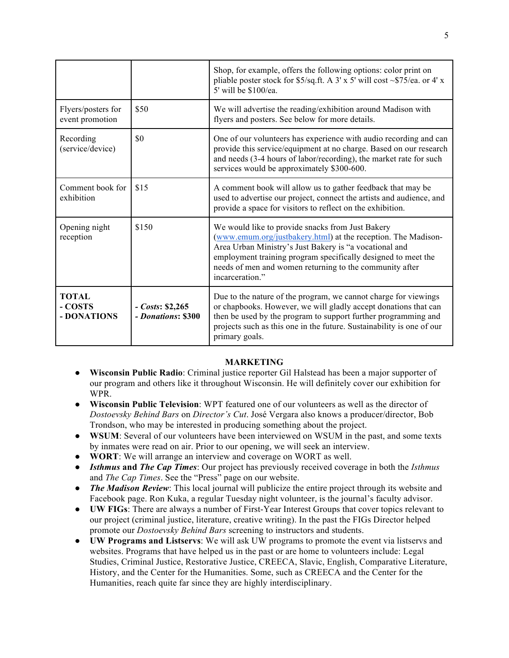|                                        |                                        | Shop, for example, offers the following options: color print on<br>pliable poster stock for \$5/sq.ft. A 3' x 5' will cost $\sim$ \$75/ea. or 4' x<br>5' will be \$100/ea.                                                                                                                                                 |
|----------------------------------------|----------------------------------------|----------------------------------------------------------------------------------------------------------------------------------------------------------------------------------------------------------------------------------------------------------------------------------------------------------------------------|
| Flyers/posters for<br>event promotion  | \$50                                   | We will advertise the reading/exhibition around Madison with<br>flyers and posters. See below for more details.                                                                                                                                                                                                            |
| Recording<br>(service/device)          | \$0                                    | One of our volunteers has experience with audio recording and can<br>provide this service/equipment at no charge. Based on our research<br>and needs (3-4 hours of labor/recording), the market rate for such<br>services would be approximately \$300-600.                                                                |
| Comment book for<br>exhibition         | \$15                                   | A comment book will allow us to gather feedback that may be<br>used to advertise our project, connect the artists and audience, and<br>provide a space for visitors to reflect on the exhibition.                                                                                                                          |
| Opening night<br>reception             | \$150                                  | We would like to provide snacks from Just Bakery<br>(www.emum.org/justbakery.html) at the reception. The Madison-<br>Area Urban Ministry's Just Bakery is "a vocational and<br>employment training program specifically designed to meet the<br>needs of men and women returning to the community after<br>incarceration." |
| <b>TOTAL</b><br>- COSTS<br>- DONATIONS | $-Costs: $2,265$<br>- Donations: \$300 | Due to the nature of the program, we cannot charge for viewings<br>or chapbooks. However, we will gladly accept donations that can<br>then be used by the program to support further programming and<br>projects such as this one in the future. Sustainability is one of our<br>primary goals.                            |

# **MARKETING**

- **Wisconsin Public Radio**: Criminal justice reporter Gil Halstead has been a major supporter of our program and others like it throughout Wisconsin. He will definitely cover our exhibition for WPR.
- **Wisconsin Public Television**: WPT featured one of our volunteers as well as the director of *Dostoevsky Behind Bars* on *Director's Cut*. José Vergara also knows a producer/director, Bob Trondson, who may be interested in producing something about the project.
- **WSUM**: Several of our volunteers have been interviewed on WSUM in the past, and some texts by inmates were read on air. Prior to our opening, we will seek an interview.
- **WORT**: We will arrange an interview and coverage on WORT as well.
- *Isthmus* **and** *The Cap Times*: Our project has previously received coverage in both the *Isthmus* and *The Cap Times*. See the "Press" page on our website.
- *The Madison Review*: This local journal will publicize the entire project through its website and Facebook page. Ron Kuka, a regular Tuesday night volunteer, is the journal's faculty advisor.
- **UW FIGs**: There are always a number of First-Year Interest Groups that cover topics relevant to our project (criminal justice, literature, creative writing). In the past the FIGs Director helped promote our *Dostoevsky Behind Bars* screening to instructors and students.
- **UW Programs and Listservs**: We will ask UW programs to promote the event via listservs and websites. Programs that have helped us in the past or are home to volunteers include: Legal Studies, Criminal Justice, Restorative Justice, CREECA, Slavic, English, Comparative Literature, History, and the Center for the Humanities. Some, such as CREECA and the Center for the Humanities, reach quite far since they are highly interdisciplinary.